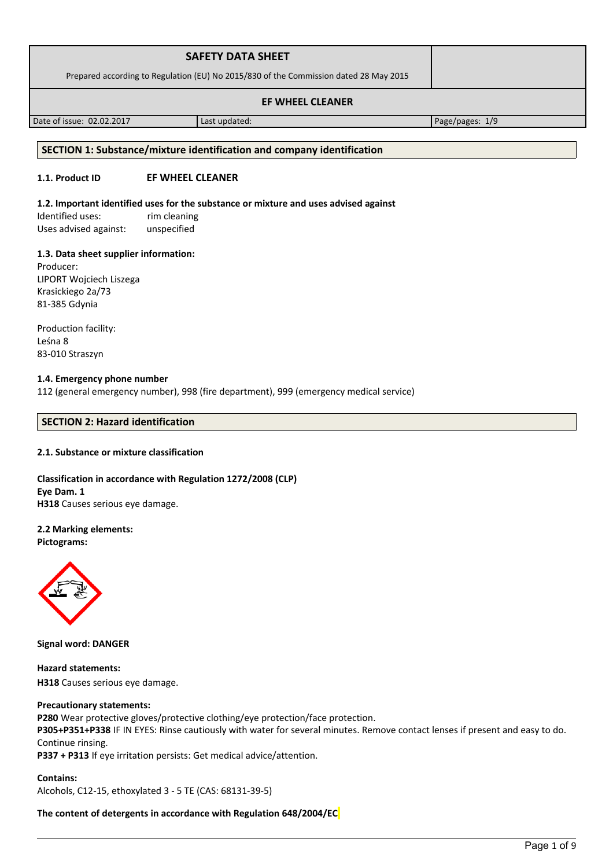| <b>SAFETY DATA SHEET</b>                                                              |  |
|---------------------------------------------------------------------------------------|--|
| Prepared according to Regulation (EU) No 2015/830 of the Commission dated 28 May 2015 |  |
| <b>EF WHEEL CLEANER</b>                                                               |  |

Date of issue: 02.02.2017 and a last updated: Page/pages: 1/9

#### **SECTION 1: Substance/mixture identification and company identification**

### **1.1. Product ID EF WHEEL CLEANER**

#### **1.2. Important identified uses for the substance or mixture and uses advised against**

Identified uses: rim cleaning Uses advised against: unspecified

#### **1.3. Data sheet supplier information:**

Producer: LIPORT Wojciech Liszega Krasickiego 2a/73 81-385 Gdynia

Production facility: Leśna 8 83-010 Straszyn

## **1.4. Emergency phone number**

112 (general emergency number), 998 (fire department), 999 (emergency medical service)

## **SECTION 2: Hazard identification**

#### **2.1. Substance or mixture classification**

**Classification in accordance with Regulation 1272/2008 (CLP) Eye Dam. 1 H318** Causes serious eye damage.

# **2.2 Marking elements:**

**Pictograms:**



**Signal word: DANGER**

**Hazard statements: H318** Causes serious eye damage.

#### **Precautionary statements:**

**P280** Wear protective gloves/protective clothing/eye protection/face protection.

**P305+P351+P338** IF IN EYES: Rinse cautiously with water for several minutes. Remove contact lenses if present and easy to do. Continue rinsing.

**P337 + P313** If eye irritation persists: Get medical advice/attention.

**Contains:**  Alcohols, C12-15, ethoxylated 3 - 5 TE (CAS: 68131-39-5)

#### **The content of detergents in accordance with Regulation 648/2004/EC**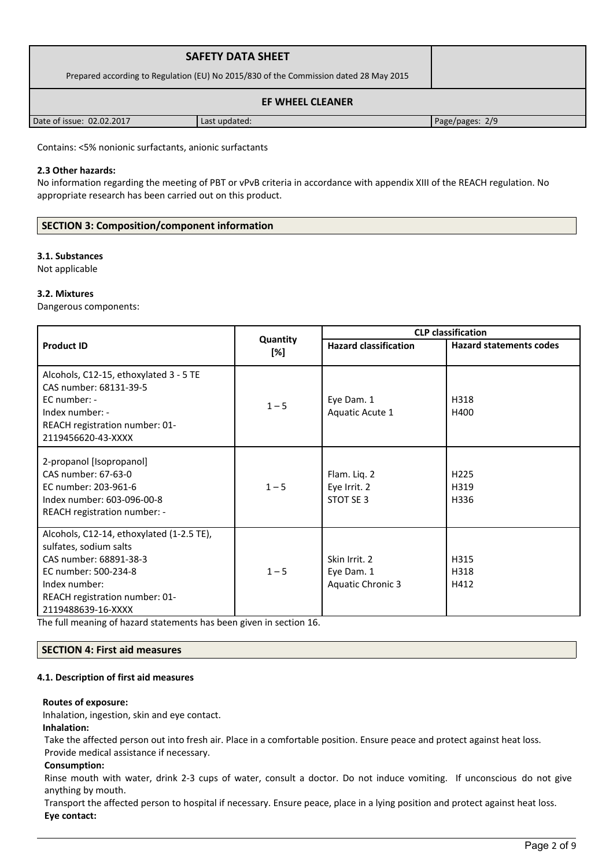| <b>SAFETY DATA SHEET</b>                                                              |               |                 |
|---------------------------------------------------------------------------------------|---------------|-----------------|
| Prepared according to Regulation (EU) No 2015/830 of the Commission dated 28 May 2015 |               |                 |
|                                                                                       |               |                 |
| Date of issue: 02.02.2017                                                             | Last updated: | Page/pages: 2/9 |

Contains: <5% nonionic surfactants, anionic surfactants

## **2.3 Other hazards:**

No information regarding the meeting of PBT or vPvB criteria in accordance with appendix XIII of the REACH regulation. No appropriate research has been carried out on this product.

# **SECTION 3: Composition/component information**

#### **3.1. Substances**

Not applicable

#### **3.2. Mixtures**

Dangerous components:

|                                                                                                                                                                                                |                 | <b>CLP classification</b>                        |                                  |  |
|------------------------------------------------------------------------------------------------------------------------------------------------------------------------------------------------|-----------------|--------------------------------------------------|----------------------------------|--|
| <b>Product ID</b>                                                                                                                                                                              | Quantity<br>[%] | <b>Hazard classification</b>                     | <b>Hazard statements codes</b>   |  |
| Alcohols, C12-15, ethoxylated 3 - 5 TE<br>CAS number: 68131-39-5<br>$EC$ number: -<br>Index number: -<br>REACH registration number: 01-<br>2119456620-43-XXXX                                  | $1 - 5$         | Eye Dam. 1<br>Aquatic Acute 1                    | H318<br>H400                     |  |
| 2-propanol [Isopropanol]<br>CAS number: 67-63-0<br>EC number: 203-961-6<br>Index number: 603-096-00-8<br>REACH registration number: -                                                          | $1 - 5$         | Flam. Liq. 2<br>Eye Irrit. 2<br>STOT SE 3        | H <sub>225</sub><br>H319<br>H336 |  |
| Alcohols, C12-14, ethoxylated (1-2.5 TE),<br>sulfates, sodium salts<br>CAS number: 68891-38-3<br>EC number: 500-234-8<br>Index number:<br>REACH registration number: 01-<br>2119488639-16-XXXX | $1 - 5$         | Skin Irrit. 2<br>Eye Dam. 1<br>Aquatic Chronic 3 | H315<br>H318<br>H412             |  |

The full meaning of hazard statements has been given in section 16.

#### **SECTION 4: First aid measures**

#### **4.1. Description of first aid measures**

#### **Routes of exposure:**

Inhalation, ingestion, skin and eye contact.

## **Inhalation:**

Take the affected person out into fresh air. Place in a comfortable position. Ensure peace and protect against heat loss. Provide medical assistance if necessary.

#### **Consumption:**

Rinse mouth with water, drink 2-3 cups of water, consult a doctor. Do not induce vomiting. If unconscious do not give anything by mouth.

Transport the affected person to hospital if necessary. Ensure peace, place in a lying position and protect against heat loss. **Eye contact:**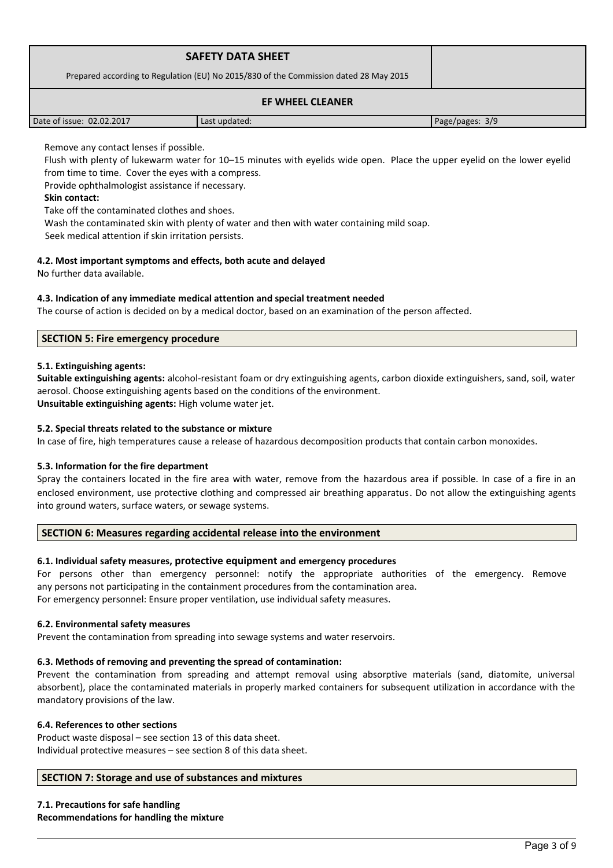|                           | <b>SAFETY DATA SHEET</b><br>Prepared according to Regulation (EU) No 2015/830 of the Commission dated 28 May 2015 |                 |
|---------------------------|-------------------------------------------------------------------------------------------------------------------|-----------------|
|                           |                                                                                                                   |                 |
| Date of issue: 02.02.2017 | Last updated:                                                                                                     | Page/pages: 3/9 |

Remove any contact lenses if possible.

Flush with plenty of lukewarm water for 10–15 minutes with eyelids wide open. Place the upper eyelid on the lower eyelid from time to time. Cover the eyes with a compress.

Provide ophthalmologist assistance if necessary.

## **Skin contact:**

Take off the contaminated clothes and shoes.

Wash the contaminated skin with plenty of water and then with water containing mild soap.

Seek medical attention if skin irritation persists.

## **4.2. Most important symptoms and effects, both acute and delayed**

No further data available.

## **4.3. Indication of any immediate medical attention and special treatment needed**

The course of action is decided on by a medical doctor, based on an examination of the person affected.

## **SECTION 5: Fire emergency procedure**

#### **5.1. Extinguishing agents:**

**Suitable extinguishing agents:** alcohol-resistant foam or dry extinguishing agents, carbon dioxide extinguishers, sand, soil, water aerosol. Choose extinguishing agents based on the conditions of the environment. **Unsuitable extinguishing agents:** High volume water jet.

### **5.2. Special threats related to the substance or mixture**

In case of fire, high temperatures cause a release of hazardous decomposition products that contain carbon monoxides.

#### **5.3. Information for the fire department**

Spray the containers located in the fire area with water, remove from the hazardous area if possible. In case of a fire in an enclosed environment, use protective clothing and compressed air breathing apparatus. Do not allow the extinguishing agents into ground waters, surface waters, or sewage systems.

#### **SECTION 6: Measures regarding accidental release into the environment**

# **6.1. Individual safety measures, protective equipment and emergency procedures**

For persons other than emergency personnel: notify the appropriate authorities of the emergency. Remove any persons not participating in the containment procedures from the contamination area.

For emergency personnel: Ensure proper ventilation, use individual safety measures.

#### **6.2. Environmental safety measures**

Prevent the contamination from spreading into sewage systems and water reservoirs.

#### **6.3. Methods of removing and preventing the spread of contamination:**

Prevent the contamination from spreading and attempt removal using absorptive materials (sand, diatomite, universal absorbent), place the contaminated materials in properly marked containers for subsequent utilization in accordance with the mandatory provisions of the law.

#### **6.4. References to other sections**

Product waste disposal – see section 13 of this data sheet. Individual protective measures – see section 8 of this data sheet.

# **SECTION 7: Storage and use of substances and mixtures**

**7.1. Precautions for safe handling Recommendations for handling the mixture**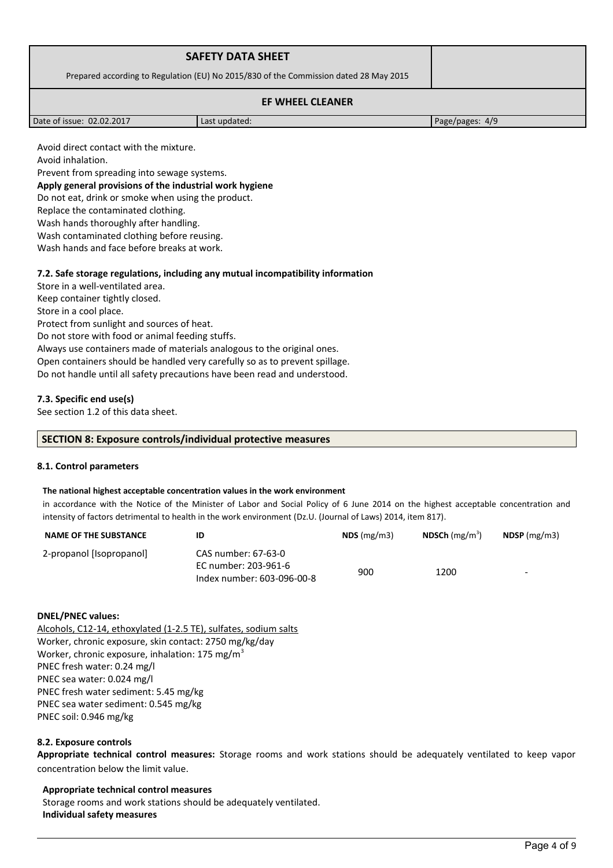| <b>SAFETY DATA SHEET</b>                                                              |               |                 |
|---------------------------------------------------------------------------------------|---------------|-----------------|
| Prepared according to Regulation (EU) No 2015/830 of the Commission dated 28 May 2015 |               |                 |
|                                                                                       |               |                 |
| Date of issue: 02.02.2017                                                             | Last updated: | Page/pages: 4/9 |

Avoid direct contact with the mixture.

Avoid inhalation.

Prevent from spreading into sewage systems.

**Apply general provisions of the industrial work hygiene** 

Do not eat, drink or smoke when using the product.

Replace the contaminated clothing.

Wash hands thoroughly after handling.

Wash contaminated clothing before reusing.

Wash hands and face before breaks at work.

## **7.2. Safe storage regulations, including any mutual incompatibility information**

Store in a well-ventilated area. Keep container tightly closed. Store in a cool place. Protect from sunlight and sources of heat. Do not store with food or animal feeding stuffs. Always use containers made of materials analogous to the original ones. Open containers should be handled very carefully so as to prevent spillage. Do not handle until all safety precautions have been read and understood.

## **7.3. Specific end use(s)**

See section 1.2 of this data sheet.

#### **SECTION 8: Exposure controls/individual protective measures**

#### **8.1. Control parameters**

#### **The national highest acceptable concentration values in the work environment**

in accordance with the Notice of the Minister of Labor and Social Policy of 6 June 2014 on the highest acceptable concentration and intensity of factors detrimental to health in the work environment (Dz.U. (Journal of Laws) 2014, item 817).

| <b>NAME OF THE SUBSTANCE</b> |                                                    | $NDS$ (mg/m3) | <b>NDSCh</b> (mg/m <sup>3</sup> ) | $N$ DSP (mg/m3)          |
|------------------------------|----------------------------------------------------|---------------|-----------------------------------|--------------------------|
| 2-propanol [Isopropanol]     | CAS number: 67-63-0                                |               |                                   |                          |
|                              | EC number: 203-961-6<br>Index number: 603-096-00-8 | 900           | 1200                              | $\overline{\phantom{0}}$ |

#### **DNEL/PNEC values:**

Alcohols, C12-14, ethoxylated (1-2.5 TE), sulfates, sodium salts Worker, chronic exposure, skin contact: 2750 mg/kg/day Worker, chronic exposure, inhalation: 175 mg/m<sup>3</sup> PNEC fresh water: 0.24 mg/l PNEC sea water: 0.024 mg/l PNEC fresh water sediment: 5.45 mg/kg PNEC sea water sediment: 0.545 mg/kg PNEC soil: 0.946 mg/kg

#### **8.2. Exposure controls**

**Appropriate technical control measures:** Storage rooms and work stations should be adequately ventilated to keep vapor concentration below the limit value.

#### **Appropriate technical control measures**

Storage rooms and work stations should be adequately ventilated. **Individual safety measures**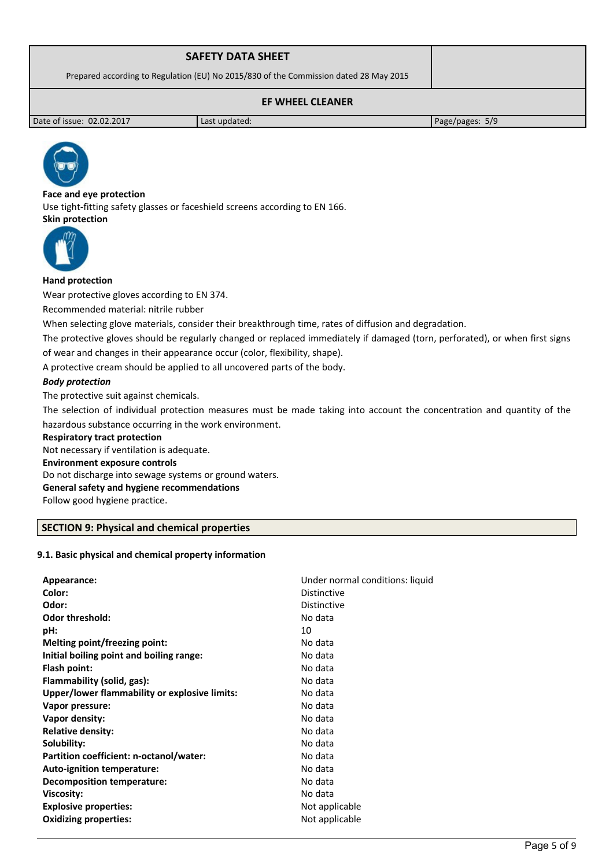| <b>SAFETY DATA SHEET</b>                                                              |  |
|---------------------------------------------------------------------------------------|--|
| Prepared according to Regulation (EU) No 2015/830 of the Commission dated 28 May 2015 |  |
| <b>EF WHEEL CLEANER</b>                                                               |  |

Date of issue: 02.02.2017 Last updated: Page/pages: 5/9



**Face and eye protection** Use tight-fitting safety glasses or faceshield screens according to EN 166. **Skin protection** 



## **Hand protection**

Wear protective gloves according to EN 374.

Recommended material: nitrile rubber

When selecting glove materials, consider their breakthrough time, rates of diffusion and degradation.

The protective gloves should be regularly changed or replaced immediately if damaged (torn, perforated), or when first signs of wear and changes in their appearance occur (color, flexibility, shape).

A protective cream should be applied to all uncovered parts of the body.

## *Body protection*

The protective suit against chemicals.

The selection of individual protection measures must be made taking into account the concentration and quantity of the hazardous substance occurring in the work environment.

#### **Respiratory tract protection**

Not necessary if ventilation is adequate. **Environment exposure controls**  Do not discharge into sewage systems or ground waters. **General safety and hygiene recommendations** Follow good hygiene practice.

# **SECTION 9: Physical and chemical properties**

#### **9.1. Basic physical and chemical property information**

| Appearance:                                   | Under normal conditions: liquid |
|-----------------------------------------------|---------------------------------|
| Color:                                        | <b>Distinctive</b>              |
| Odor:                                         | <b>Distinctive</b>              |
| <b>Odor threshold:</b>                        | No data                         |
| pH:                                           | 10                              |
| Melting point/freezing point:                 | No data                         |
| Initial boiling point and boiling range:      | No data                         |
| Flash point:                                  | No data                         |
| Flammability (solid, gas):                    | No data                         |
| Upper/lower flammability or explosive limits: | No data                         |
| Vapor pressure:                               | No data                         |
| Vapor density:                                | No data                         |
| <b>Relative density:</b>                      | No data                         |
| Solubility:                                   | No data                         |
| Partition coefficient: n-octanol/water:       | No data                         |
| Auto-ignition temperature:                    | No data                         |
| <b>Decomposition temperature:</b>             | No data                         |
| <b>Viscosity:</b>                             | No data                         |
| <b>Explosive properties:</b>                  | Not applicable                  |
| <b>Oxidizing properties:</b>                  | Not applicable                  |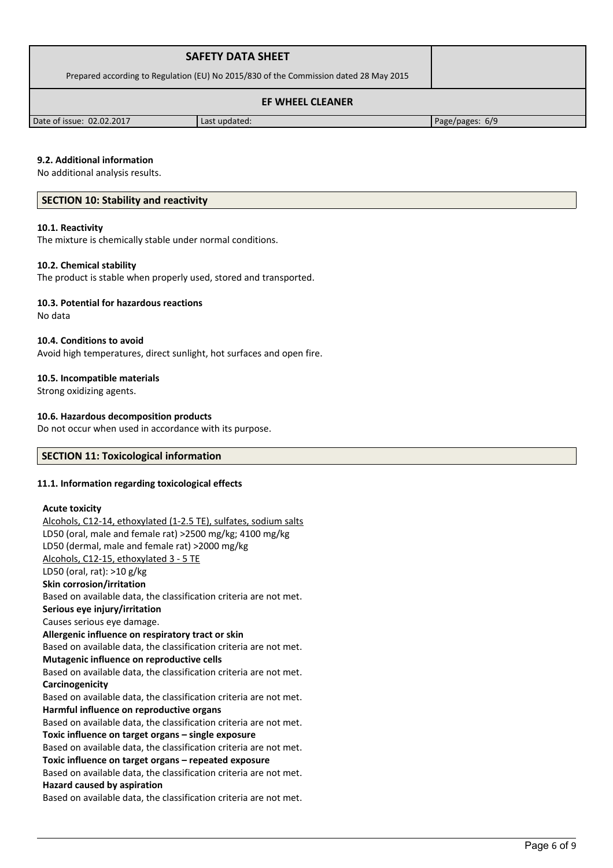| <b>SAFETY DATA SHEET</b>                                                              |               |                 |
|---------------------------------------------------------------------------------------|---------------|-----------------|
| Prepared according to Regulation (EU) No 2015/830 of the Commission dated 28 May 2015 |               |                 |
|                                                                                       |               |                 |
| Date of issue: 02.02.2017                                                             | Last updated: | Page/pages: 6/9 |

#### **9.2. Additional information**

No additional analysis results.

#### **SECTION 10: Stability and reactivity**

#### **10.1. Reactivity**

The mixture is chemically stable under normal conditions.

#### **10.2. Chemical stability**

The product is stable when properly used, stored and transported.

#### **10.3. Potential for hazardous reactions**

No data

#### **10.4. Conditions to avoid**

Avoid high temperatures, direct sunlight, hot surfaces and open fire.

#### **10.5. Incompatible materials**

Strong oxidizing agents.

#### **10.6. Hazardous decomposition products**

Do not occur when used in accordance with its purpose.

## **SECTION 11: Toxicological information**

#### **11.1. Information regarding toxicological effects**

#### **Acute toxicity**

Alcohols, C12-14, ethoxylated (1-2.5 TE), sulfates, sodium salts LD50 (oral, male and female rat) >2500 mg/kg; 4100 mg/kg LD50 (dermal, male and female rat) >2000 mg/kg Alcohols, C12-15, ethoxylated 3 - 5 TE LD50 (oral, rat): >10 g/kg **Skin corrosion/irritation** Based on available data, the classification criteria are not met. **Serious eye injury/irritation** Causes serious eye damage. **Allergenic influence on respiratory tract or skin** Based on available data, the classification criteria are not met. **Mutagenic influence on reproductive cells** Based on available data, the classification criteria are not met. **Carcinogenicity** Based on available data, the classification criteria are not met. **Harmful influence on reproductive organs** Based on available data, the classification criteria are not met. **Toxic influence on target organs – single exposure** Based on available data, the classification criteria are not met. **Toxic influence on target organs – repeated exposure** Based on available data, the classification criteria are not met. **Hazard caused by aspiration** Based on available data, the classification criteria are not met.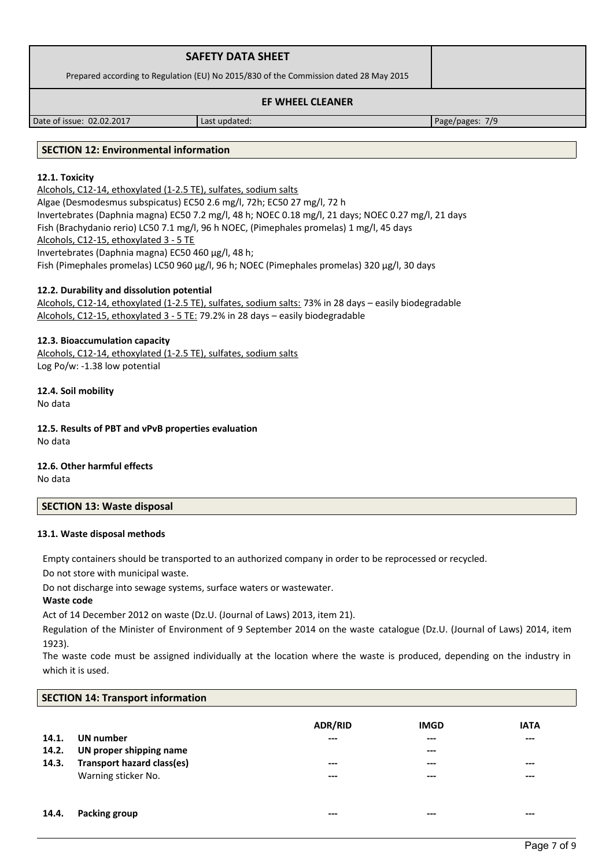| <b>SAFETY DATA SHEET</b>                                                              |  |
|---------------------------------------------------------------------------------------|--|
| Prepared according to Regulation (EU) No 2015/830 of the Commission dated 28 May 2015 |  |
| <b>EF WHEEL CLEANER</b>                                                               |  |

Date of issue: 02.02.2017 Last updated: Page/pages: 7/9

# **SECTION 12: Environmental information**

# **12.1. Toxicity**

Alcohols, C12-14, ethoxylated (1-2.5 TE), sulfates, sodium salts Algae (Desmodesmus subspicatus) EC50 2.6 mg/l, 72h; EC50 27 mg/l, 72 h Invertebrates (Daphnia magna) EC50 7.2 mg/l, 48 h; NOEC 0.18 mg/l, 21 days; NOEC 0.27 mg/l, 21 days Fish (Brachydanio rerio) LC50 7.1 mg/l, 96 h NOEC, (Pimephales promelas) 1 mg/l, 45 days Alcohols, C12-15, ethoxylated 3 - 5 TE Invertebrates (Daphnia magna) EC50 460 µg/l, 48 h; Fish (Pimephales promelas) LC50 960 µg/l, 96 h; NOEC (Pimephales promelas) 320 µg/l, 30 days

# **12.2. Durability and dissolution potential**

Alcohols, C12-14, ethoxylated (1-2.5 TE), sulfates, sodium salts: 73% in 28 days – easily biodegradable Alcohols, C12-15, ethoxylated 3 - 5 TE: 79.2% in 28 days – easily biodegradable

## **12.3. Bioaccumulation capacity**

Alcohols, C12-14, ethoxylated (1-2.5 TE), sulfates, sodium salts Log Po/w: -1.38 low potential

**12.4. Soil mobility** No data

**12.5. Results of PBT and vPvB properties evaluation** No data

**12.6. Other harmful effects** No data

#### **SECTION 13: Waste disposal**

#### **13.1. Waste disposal methods**

Empty containers should be transported to an authorized company in order to be reprocessed or recycled.

Do not store with municipal waste.

Do not discharge into sewage systems, surface waters or wastewater.

# **Waste code**

Act of 14 December 2012 on waste (Dz.U. (Journal of Laws) 2013, item 21).

Regulation of the Minister of Environment of 9 September 2014 on the waste catalogue (Dz.U. (Journal of Laws) 2014, item 1923).

The waste code must be assigned individually at the location where the waste is produced, depending on the industry in which it is used.

| <b>SECTION 14: Transport information</b> |                                   |                |             |             |  |
|------------------------------------------|-----------------------------------|----------------|-------------|-------------|--|
|                                          |                                   | <b>ADR/RID</b> | <b>IMGD</b> | <b>IATA</b> |  |
| 14.1.                                    | UN number                         | ---            | $---$       | $---$       |  |
| 14.2.                                    | UN proper shipping name           |                | $---$       |             |  |
| 14.3.                                    | <b>Transport hazard class(es)</b> | $---$          | ---         | ---         |  |
|                                          | Warning sticker No.               | ---            | ---         | $---$       |  |
|                                          |                                   |                |             |             |  |
| 14.4.                                    | Packing group                     | ---            | ---         | ---         |  |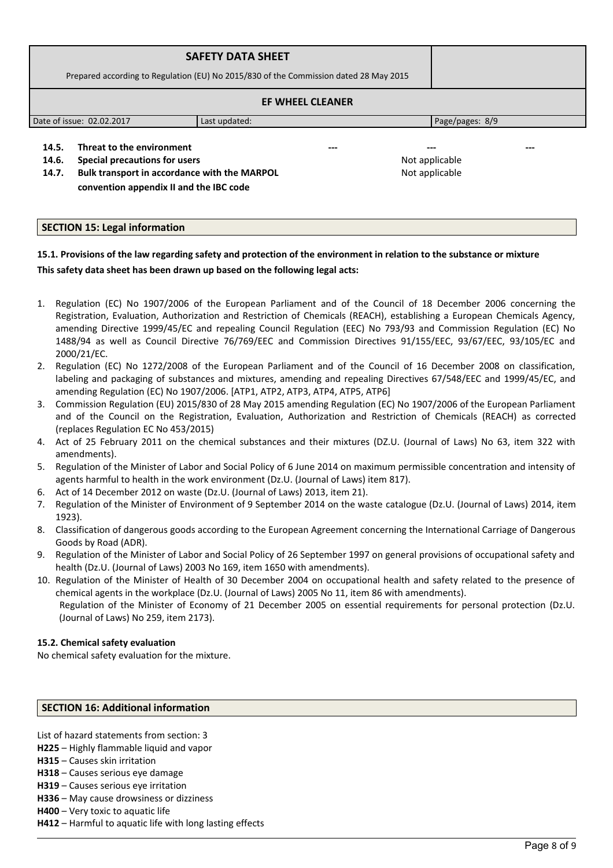|                                                                                     | <b>SAFETY DATA SHEET</b>                                                              |                       |     |
|-------------------------------------------------------------------------------------|---------------------------------------------------------------------------------------|-----------------------|-----|
|                                                                                     | Prepared according to Regulation (EU) No 2015/830 of the Commission dated 28 May 2015 |                       |     |
|                                                                                     | <b>EF WHEEL CLEANER</b>                                                               |                       |     |
| Date of issue: 02.02.2017                                                           | Last updated:                                                                         | Page/pages: 8/9       |     |
| Threat to the environment<br>14.5.<br><b>Special precautions for users</b><br>14.6. |                                                                                       | ---<br>Not applicable | --- |

**14.7. Bulk transport in accordance with the MARPOL convention appendix II and the IBC code** 

Not applicable

# **SECTION 15: Legal information**

# **15.1. Provisions of the law regarding safety and protection of the environment in relation to the substance or mixture This safety data sheet has been drawn up based on the following legal acts:**

- 1. Regulation (EC) No 1907/2006 of the European Parliament and of the Council of 18 December 2006 concerning the Registration, Evaluation, Authorization and Restriction of Chemicals (REACH), establishing a European Chemicals Agency, amending Directive 1999/45/EC and repealing Council Regulation (EEC) No 793/93 and Commission Regulation (EC) No 1488/94 as well as Council Directive 76/769/EEC and Commission Directives 91/155/EEC, 93/67/EEC, 93/105/EC and 2000/21/EC.
- 2. Regulation (EC) No 1272/2008 of the European Parliament and of the Council of 16 December 2008 on classification, labeling and packaging of substances and mixtures, amending and repealing Directives 67/548/EEC and 1999/45/EC, and amending Regulation (EC) No 1907/2006. [ATP1, ATP2, ATP3, ATP4, ATP5, ATP6]
- 3. Commission Regulation (EU) 2015/830 of 28 May 2015 amending Regulation (EC) No 1907/2006 of the European Parliament and of the Council on the Registration, Evaluation, Authorization and Restriction of Chemicals (REACH) as corrected (replaces Regulation EC No 453/2015)
- 4. Act of 25 February 2011 on the chemical substances and their mixtures (DZ.U. (Journal of Laws) No 63, item 322 with amendments).
- 5. Regulation of the Minister of Labor and Social Policy of 6 June 2014 on maximum permissible concentration and intensity of agents harmful to health in the work environment (Dz.U. (Journal of Laws) item 817).
- 6. Act of 14 December 2012 on waste (Dz.U. (Journal of Laws) 2013, item 21).
- 7. Regulation of the Minister of Environment of 9 September 2014 on the waste catalogue (Dz.U. (Journal of Laws) 2014, item 1923).
- 8. Classification of dangerous goods according to the European Agreement concerning the International Carriage of Dangerous Goods by Road (ADR).
- 9. Regulation of the Minister of Labor and Social Policy of 26 September 1997 on general provisions of occupational safety and health (Dz.U. (Journal of Laws) 2003 No 169, item 1650 with amendments).
- 10. Regulation of the Minister of Health of 30 December 2004 on occupational health and safety related to the presence of chemical agents in the workplace (Dz.U. (Journal of Laws) 2005 No 11, item 86 with amendments). Regulation of the Minister of Economy of 21 December 2005 on essential requirements for personal protection (Dz.U. (Journal of Laws) No 259, item 2173).

# **15.2. Chemical safety evaluation**

No chemical safety evaluation for the mixture.

# **SECTION 16: Additional information**

List of hazard statements from section: 3

- **H225**  Highly flammable liquid and vapor
- **H315** Causes skin irritation
- **H318** Causes serious eye damage
- **H319** Causes serious eye irritation
- **H336**  May cause drowsiness or dizziness
- **H400**  Very toxic to aquatic life
- **H412**  Harmful to aquatic life with long lasting effects